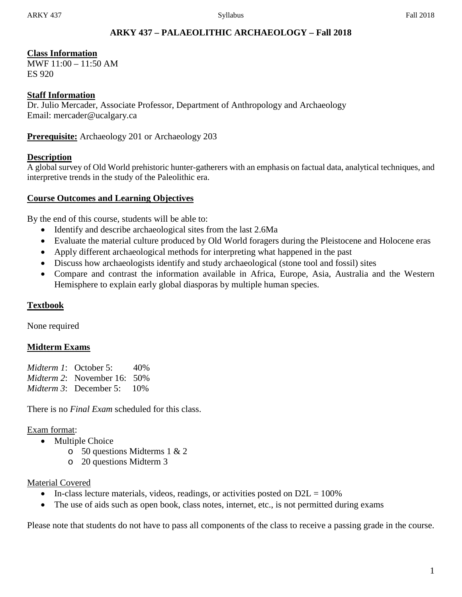# **ARKY 437 – PALAEOLITHIC ARCHAEOLOGY – Fall 2018**

### **Class Information**

MWF 11:00 – 11:50 AM ES 920

### **Staff Information**

Dr. Julio Mercader, Associate Professor, Department of Anthropology and Archaeology Email: mercader@ucalgary.ca

**Prerequisite:** Archaeology 201 or Archaeology 203

### **Description**

A global survey of Old World prehistoric hunter-gatherers with an emphasis on factual data, analytical techniques, and interpretive trends in the study of the Paleolithic era.

### **Course Outcomes and Learning Objectives**

By the end of this course, students will be able to:

- Identify and describe archaeological sites from the last 2.6Ma
- Evaluate the material culture produced by Old World foragers during the Pleistocene and Holocene eras
- Apply different archaeological methods for interpreting what happened in the past
- Discuss how archaeologists identify and study archaeological (stone tool and fossil) sites
- Compare and contrast the information available in Africa, Europe, Asia, Australia and the Western Hemisphere to explain early global diasporas by multiple human species.

### **Textbook**

None required

#### **Midterm Exams**

| <i>Midterm 1</i> : October 5:         | 40% |
|---------------------------------------|-----|
| <i>Midterm</i> 2: November 16: $50\%$ |     |
| <i>Midterm 3</i> : December 5: $10\%$ |     |

There is no *Final Exam* scheduled for this class.

#### Exam format:

- Multiple Choice
	- o 50 questions Midterms 1 & 2
	- o 20 questions Midterm 3

#### Material Covered

- In-class lecture materials, videos, readings, or activities posted on  $D2L = 100\%$
- The use of aids such as open book, class notes, internet, etc., is not permitted during exams

Please note that students do not have to pass all components of the class to receive a passing grade in the course.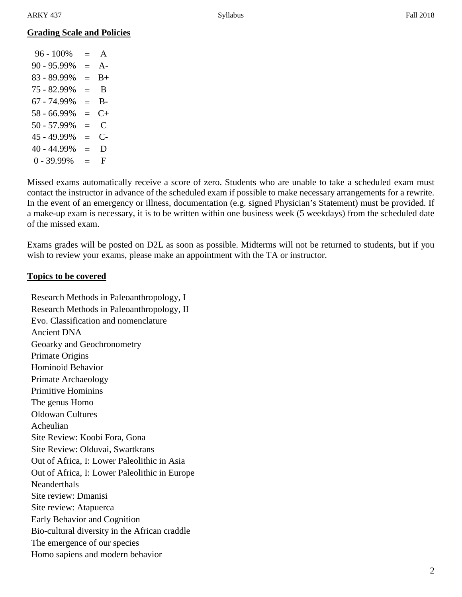# **Grading Scale and Policies**

 $96 - 100\% = A$  $90 - 95.99\% = A$  $83 - 89.99\% = B +$  $75 - 82.99\% = B$  $67 - 74.99\% = \text{B}$  $58 - 66.99\% = C +$  $50 - 57.99\% = C$  $45 - 49.99\% = C$ - $40 - 44.99\% = D$  $0 - 39.99\% = F$ 

Missed exams automatically receive a score of zero. Students who are unable to take a scheduled exam must contact the instructor in advance of the scheduled exam if possible to make necessary arrangements for a rewrite. In the event of an emergency or illness, documentation (e.g. signed Physician's Statement) must be provided. If a make-up exam is necessary, it is to be written within one business week (5 weekdays) from the scheduled date of the missed exam.

Exams grades will be posted on D2L as soon as possible. Midterms will not be returned to students, but if you wish to review your exams, please make an appointment with the TA or instructor.

#### **Topics to be covered**

Research Methods in Paleoanthropology, I Research Methods in Paleoanthropology, II Evo. Classification and nomenclature Ancient DNA Geoarky and Geochronometry Primate Origins Hominoid Behavior Primate Archaeology Primitive Hominins The genus Homo Oldowan Cultures Acheulian Site Review: Koobi Fora, Gona Site Review: Olduvai, Swartkrans Out of Africa, I: Lower Paleolithic in Asia Out of Africa, I: Lower Paleolithic in Europe **Neanderthals** Site review: Dmanisi Site review: Atapuerca Early Behavior and Cognition Bio-cultural diversity in the African craddle The emergence of our species Homo sapiens and modern behavior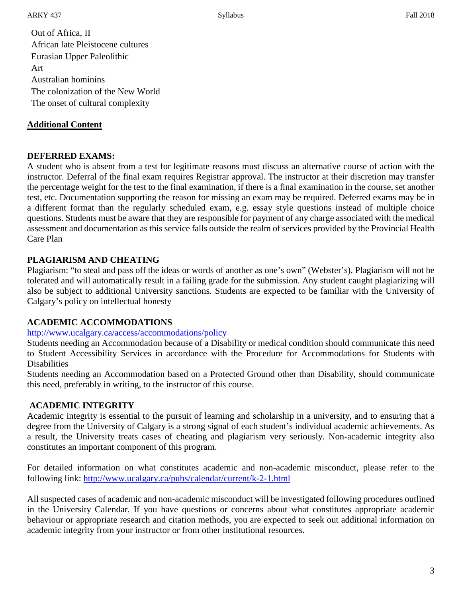Out of Africa, II African late Pleistocene cultures Eurasian Upper Paleolithic Art Australian hominins The colonization of the New World The onset of cultural complexity

## **Additional Content**

### **DEFERRED EXAMS:**

A student who is absent from a test for legitimate reasons must discuss an alternative course of action with the instructor. Deferral of the final exam requires Registrar approval. The instructor at their discretion may transfer the percentage weight for the test to the final examination, if there is a final examination in the course, set another test, etc. Documentation supporting the reason for missing an exam may be required. Deferred exams may be in a different format than the regularly scheduled exam, e.g. essay style questions instead of multiple choice questions. Students must be aware that they are responsible for payment of any charge associated with the medical assessment and documentation as this service falls outside the realm of services provided by the Provincial Health Care Plan

# **PLAGIARISM AND CHEATING**

Plagiarism: "to steal and pass off the ideas or words of another as one's own" (Webster's). Plagiarism will not be tolerated and will automatically result in a failing grade for the submission. Any student caught plagiarizing will also be subject to additional University sanctions. Students are expected to be familiar with the University of Calgary's policy on intellectual honesty

### **ACADEMIC ACCOMMODATIONS**

### <http://www.ucalgary.ca/access/accommodations/policy>

Students needing an Accommodation because of a Disability or medical condition should communicate this need to Student Accessibility Services in accordance with the Procedure for Accommodations for Students with **Disabilities** 

Students needing an Accommodation based on a Protected Ground other than Disability, should communicate this need, preferably in writing, to the instructor of this course.

### **ACADEMIC INTEGRITY**

Academic integrity is essential to the pursuit of learning and scholarship in a university, and to ensuring that a degree from the University of Calgary is a strong signal of each student's individual academic achievements. As a result, the University treats cases of cheating and plagiarism very seriously. Non-academic integrity also constitutes an important component of this program.

For detailed information on what constitutes academic and non-academic misconduct, please refer to the following link:<http://www.ucalgary.ca/pubs/calendar/current/k-2-1.html>

All suspected cases of academic and non-academic misconduct will be investigated following procedures outlined in the University Calendar. If you have questions or concerns about what constitutes appropriate academic behaviour or appropriate research and citation methods, you are expected to seek out additional information on academic integrity from your instructor or from other institutional resources.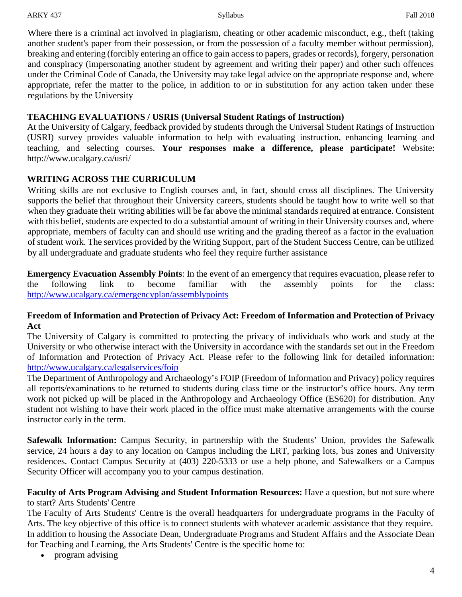Where there is a criminal act involved in plagiarism, cheating or other academic misconduct, e.g., theft (taking another student's paper from their possession, or from the possession of a faculty member without permission), breaking and entering (forcibly entering an office to gain access to papers, grades or records), forgery, personation and conspiracy (impersonating another student by agreement and writing their paper) and other such offences under the Criminal Code of Canada, the University may take legal advice on the appropriate response and, where appropriate, refer the matter to the police, in addition to or in substitution for any action taken under these regulations by the University

## **TEACHING EVALUATIONS / USRIS (Universal Student Ratings of Instruction)**

At the University of Calgary, feedback provided by students through the Universal Student Ratings of Instruction (USRI) survey provides valuable information to help with evaluating instruction, enhancing learning and teaching, and selecting courses. **Your responses make a difference, please participate!** Website: http://www.ucalgary.ca/usri/

# **WRITING ACROSS THE CURRICULUM**

Writing skills are not exclusive to English courses and, in fact, should cross all disciplines. The University supports the belief that throughout their University careers, students should be taught how to write well so that when they graduate their writing abilities will be far above the minimal standards required at entrance. Consistent with this belief, students are expected to do a substantial amount of writing in their University courses and, where appropriate, members of faculty can and should use writing and the grading thereof as a factor in the evaluation of student work. The services provided by the Writing Support, part of the Student Success Centre, can be utilized by all undergraduate and graduate students who feel they require further assistance

**Emergency Evacuation Assembly Points**: In the event of an emergency that requires evacuation, please refer to the following link to become familiar with the assembly points for the class: <http://www.ucalgary.ca/emergencyplan/assemblypoints>

### **Freedom of Information and Protection of Privacy Act: Freedom of Information and Protection of Privacy Act**

The University of Calgary is committed to protecting the privacy of individuals who work and study at the University or who otherwise interact with the University in accordance with the standards set out in the Freedom of Information and Protection of Privacy Act. Please refer to the following link for detailed information: <http://www.ucalgary.ca/legalservices/foip>

The Department of Anthropology and Archaeology's FOIP (Freedom of Information and Privacy) policy requires all reports/examinations to be returned to students during class time or the instructor's office hours. Any term work not picked up will be placed in the Anthropology and Archaeology Office (ES620) for distribution. Any student not wishing to have their work placed in the office must make alternative arrangements with the course instructor early in the term.

**Safewalk Information:** Campus Security, in partnership with the Students' Union, provides the Safewalk service, 24 hours a day to any location on Campus including the LRT, parking lots, bus zones and University residences. Contact Campus Security at (403) 220-5333 or use a help phone, and Safewalkers or a Campus Security Officer will accompany you to your campus destination.

**Faculty of Arts Program Advising and Student Information Resources:** Have a question, but not sure where to start? Arts Students' Centre

The Faculty of Arts Students' Centre is the overall headquarters for undergraduate programs in the Faculty of Arts. The key objective of this office is to connect students with whatever academic assistance that they require. In addition to housing the Associate Dean, Undergraduate Programs and Student Affairs and the Associate Dean for Teaching and Learning, the Arts Students' Centre is the specific home to:

• program advising